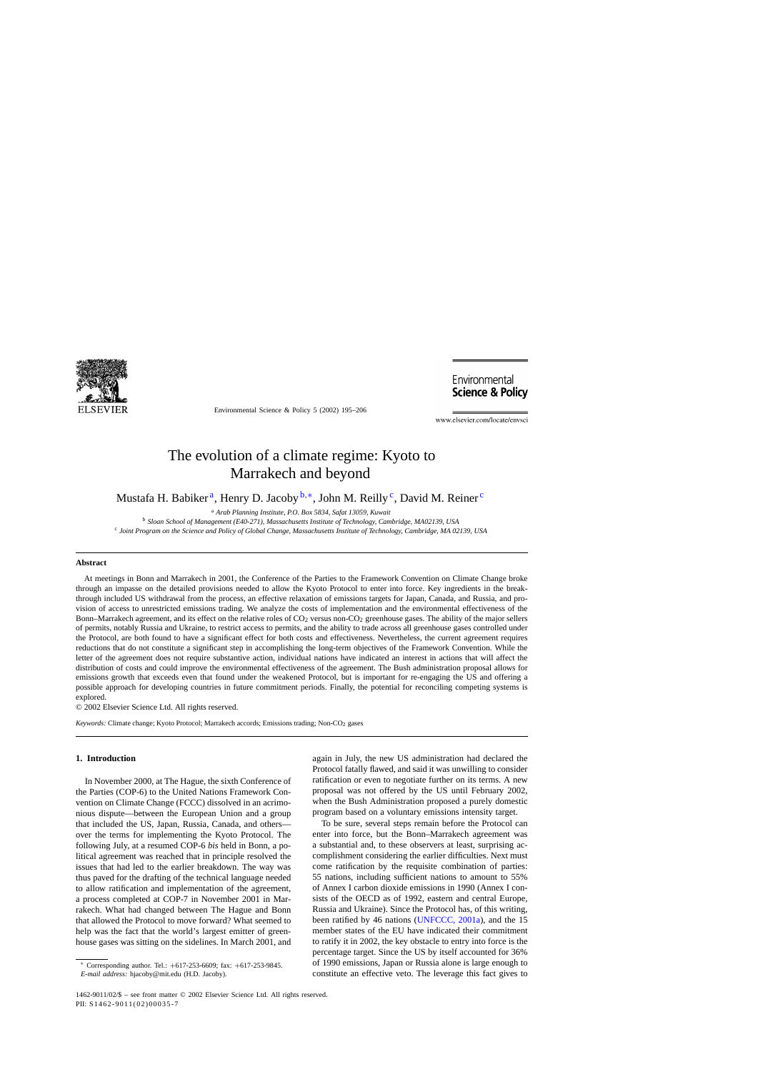

Environmental Science & Policy 5 (2002) 195–206

Environmental **Science & Policy** 

www.elsevier.com/locate/envsci

# The evolution of a climate regime: Kyoto to Marrakech and beyond

Mustafa H. Babiker<sup>a</sup>, Henry D. Jacoby<sup>b,\*</sup>, John M. Reilly<sup>c</sup>, David M. Reiner<sup>c</sup>

<sup>a</sup> *Arab Planning Institute, P.O. Box 5834, Safat 13059, Kuwait*

<sup>b</sup> *Sloan School of Management (E40-271), Massachusetts Institute of Technology, Cambridge, MA02139, USA* <sup>c</sup> *Joint Program on the Science and Policy of Global Change, Massachusetts Institute of Technology, Cambridge, MA 02139, USA*

#### **Abstract**

At meetings in Bonn and Marrakech in 2001, the Conference of the Parties to the Framework Convention on Climate Change broke through an impasse on the detailed provisions needed to allow the Kyoto Protocol to enter into force. Key ingredients in the breakthrough included US withdrawal from the process, an effective relaxation of emissions targets for Japan, Canada, and Russia, and provision of access to unrestricted emissions trading. We analyze the costs of implementation and the environmental effectiveness of the Bonn–Marrakech agreement, and its effect on the relative roles of  $CO<sub>2</sub>$  versus non- $CO<sub>2</sub>$  greenhouse gases. The ability of the major sellers of permits, notably Russia and Ukraine, to restrict access to permits, and the ability to trade across all greenhouse gases controlled under the Protocol, are both found to have a significant effect for both costs and effectiveness. Nevertheless, the current agreement requires reductions that do not constitute a significant step in accomplishing the long-term objectives of the Framework Convention. While the letter of the agreement does not require substantive action, individual nations have indicated an interest in actions that will affect the distribution of costs and could improve the environmental effectiveness of the agreement. The Bush administration proposal allows for emissions growth that exceeds even that found under the weakened Protocol, but is important for re-engaging the US and offering a possible approach for developing countries in future commitment periods. Finally, the potential for reconciling competing systems is explored.

© 2002 Elsevier Science Ltd. All rights reserved.

Keywords: Climate change; Kyoto Protocol; Marrakech accords; Emissions trading; Non-CO<sub>2</sub> gases

# **1. Introduction**

In November 2000, at The Hague, the sixth Conference of the Parties (COP-6) to the United Nations Framework Convention on Climate Change (FCCC) dissolved in an acrimonious dispute—between the European Union and a group that included the US, Japan, Russia, Canada, and others over the terms for implementing the Kyoto Protocol. The following July, at a resumed COP-6 *bis* held in Bonn, a political agreement was reached that in principle resolved the issues that had led to the earlier breakdown. The way was thus paved for the drafting of the technical language needed to allow ratification and implementation of the agreement, a process completed at COP-7 in November 2001 in Marrakech. What had changed between The Hague and Bonn that allowed the Protocol to move forward? What seemed to help was the fact that the world's largest emitter of greenhouse gases was sitting on the sidelines. In March 2001, and again in July, the new US administration had declared the Protocol fatally flawed, and said it was unwilling to consider ratification or even to negotiate further on its terms. A new proposal was not offered by the US until February 2002, when the Bush Administration proposed a purely domestic program based on a voluntary emissions intensity target.

To be sure, several steps remain before the Protocol can enter into force, but the Bonn–Marrakech agreement was a substantial and, to these observers at least, surprising accomplishment considering the earlier difficulties. Next must come ratification by the requisite combination of parties: 55 nations, including sufficient nations to amount to 55% of Annex I carbon dioxide emissions in 1990 (Annex I consists of the OECD as of 1992, eastern and central Europe, Russia and Ukraine). Since the Protocol has, of this writing, been ratified by 46 nations ([UNFCCC, 2001a\),](#page-11-0) and the 15 member states of the EU have indicated their commitment to ratify it in 2002, the key obstacle to entry into force is the percentage target. Since the US by itself accounted for 36% of 1990 emissions, Japan or Russia alone is large enough to constitute an effective veto. The leverage this fact gives to

<sup>∗</sup> Corresponding author. Tel.: +617-253-6609; fax: +617-253-9845. *E-mail address:* hjacoby@mit.edu (H.D. Jacoby).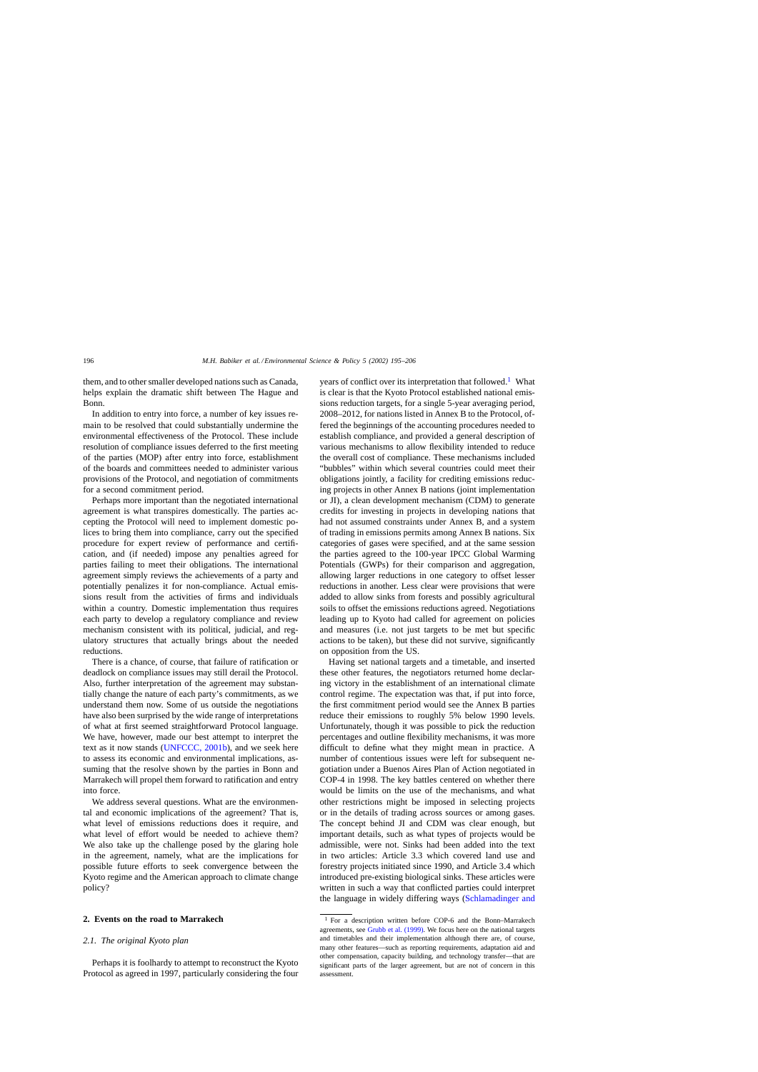them, and to other smaller developed nations such as Canada, helps explain the dramatic shift between The Hague and Bonn.

In addition to entry into force, a number of key issues remain to be resolved that could substantially undermine the environmental effectiveness of the Protocol. These include resolution of compliance issues deferred to the first meeting of the parties (MOP) after entry into force, establishment of the boards and committees needed to administer various provisions of the Protocol, and negotiation of commitments for a second commitment period.

Perhaps more important than the negotiated international agreement is what transpires domestically. The parties accepting the Protocol will need to implement domestic polices to bring them into compliance, carry out the specified procedure for expert review of performance and certification, and (if needed) impose any penalties agreed for parties failing to meet their obligations. The international agreement simply reviews the achievements of a party and potentially penalizes it for non-compliance. Actual emissions result from the activities of firms and individuals within a country. Domestic implementation thus requires each party to develop a regulatory compliance and review mechanism consistent with its political, judicial, and regulatory structures that actually brings about the needed reductions.

There is a chance, of course, that failure of ratification or deadlock on compliance issues may still derail the Protocol. Also, further interpretation of the agreement may substantially change the nature of each party's commitments, as we understand them now. Some of us outside the negotiations have also been surprised by the wide range of interpretations of what at first seemed straightforward Protocol language. We have, however, made our best attempt to interpret the text as it now stands ([UNFCCC, 2001b\),](#page-11-0) and we seek here to assess its economic and environmental implications, assuming that the resolve shown by the parties in Bonn and Marrakech will propel them forward to ratification and entry into force.

We address several questions. What are the environmental and economic implications of the agreement? That is, what level of emissions reductions does it require, and what level of effort would be needed to achieve them? We also take up the challenge posed by the glaring hole in the agreement, namely, what are the implications for possible future efforts to seek convergence between the Kyoto regime and the American approach to climate change policy?

#### **2. Events on the road to Marrakech**

#### *2.1. The original Kyoto plan*

Perhaps it is foolhardy to attempt to reconstruct the Kyoto Protocol as agreed in 1997, particularly considering the four

years of conflict over its interpretation that followed.<sup>1</sup> What is clear is that the Kyoto Protocol established national emissions reduction targets, for a single 5-year averaging period, 2008–2012, for nations listed in Annex B to the Protocol, offered the beginnings of the accounting procedures needed to establish compliance, and provided a general description of various mechanisms to allow flexibility intended to reduce the overall cost of compliance. These mechanisms included "bubbles" within which several countries could meet their obligations jointly, a facility for crediting emissions reducing projects in other Annex B nations (joint implementation or JI), a clean development mechanism (CDM) to generate credits for investing in projects in developing nations that had not assumed constraints under Annex B, and a system of trading in emissions permits among Annex B nations. Six categories of gases were specified, and at the same session the parties agreed to the 100-year IPCC Global Warming Potentials (GWPs) for their comparison and aggregation, allowing larger reductions in one category to offset lesser reductions in another. Less clear were provisions that were added to allow sinks from forests and possibly agricultural soils to offset the emissions reductions agreed. Negotiations leading up to Kyoto had called for agreement on policies and measures (i.e. not just targets to be met but specific actions to be taken), but these did not survive, significantly on opposition from the US.

Having set national targets and a timetable, and inserted these other features, the negotiators returned home declaring victory in the establishment of an international climate control regime. The expectation was that, if put into force, the first commitment period would see the Annex B parties reduce their emissions to roughly 5% below 1990 levels. Unfortunately, though it was possible to pick the reduction percentages and outline flexibility mechanisms, it was more difficult to define what they might mean in practice. A number of contentious issues were left for subsequent negotiation under a Buenos Aires Plan of Action negotiated in COP-4 in 1998. The key battles centered on whether there would be limits on the use of the mechanisms, and what other restrictions might be imposed in selecting projects or in the details of trading across sources or among gases. The concept behind JI and CDM was clear enough, but important details, such as what types of projects would be admissible, were not. Sinks had been added into the text in two articles: Article 3.3 which covered land use and forestry projects initiated since 1990, and Article 3.4 which introduced pre-existing biological sinks. These articles were written in such a way that conflicted parties could interpret the language in widely differing ways [\(Schlamadinger and](#page-11-0)

<sup>&</sup>lt;sup>1</sup> For a description written before COP-6 and the Bonn–Marrakech agreements, see [Grubb et al. \(1999\). W](#page-11-0)e focus here on the national targets and timetables and their implementation although there are, of course, many other features—such as reporting requirements, adaptation aid and other compensation, capacity building, and technology transfer—that are significant parts of the larger agreement, but are not of concern in this assessment.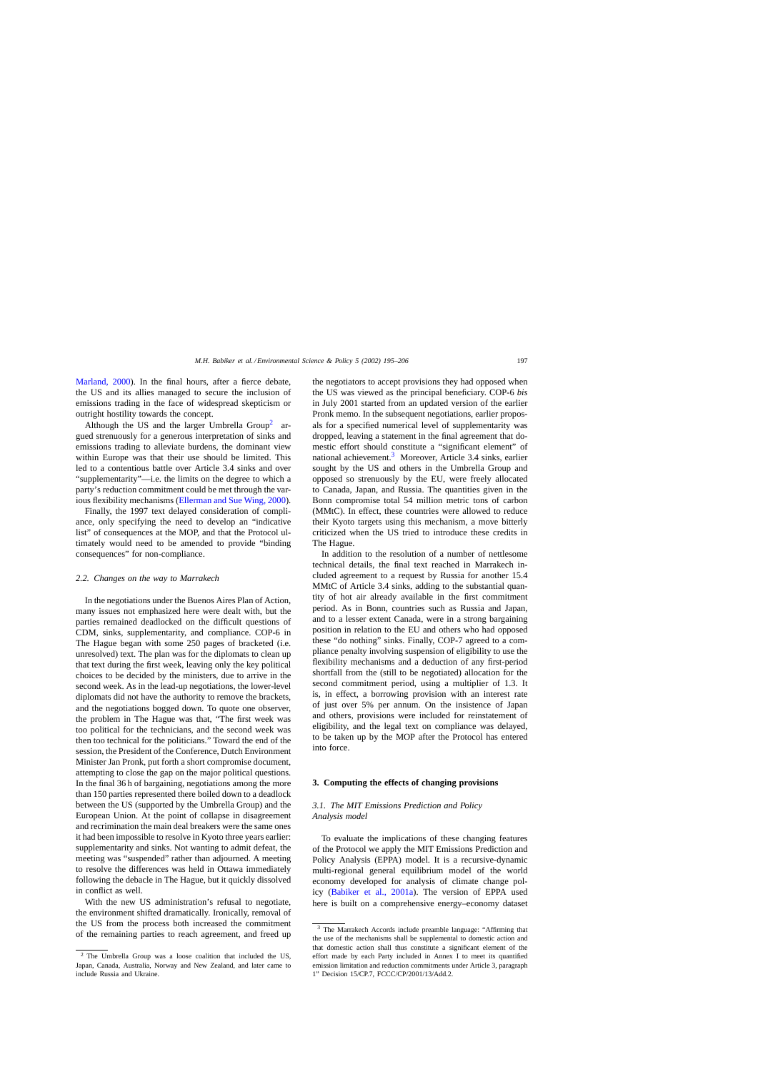[Marland, 2000\)](#page-11-0). In the final hours, after a fierce debate, the US and its allies managed to secure the inclusion of emissions trading in the face of widespread skepticism or outright hostility towards the concept.

Although the US and the larger Umbrella Group<sup>2</sup> argued strenuously for a generous interpretation of sinks and emissions trading to alleviate burdens, the dominant view within Europe was that their use should be limited. This led to a contentious battle over Article 3.4 sinks and over "supplementarity"—i.e. the limits on the degree to which a party's reduction commitment could be met through the various flexibility mechanisms ([Ellerman and Sue Wing, 2000\).](#page-11-0)

Finally, the 1997 text delayed consideration of compliance, only specifying the need to develop an "indicative list" of consequences at the MOP, and that the Protocol ultimately would need to be amended to provide "binding consequences" for non-compliance.

## *2.2. Changes on the way to Marrakech*

In the negotiations under the Buenos Aires Plan of Action, many issues not emphasized here were dealt with, but the parties remained deadlocked on the difficult questions of CDM, sinks, supplementarity, and compliance. COP-6 in The Hague began with some 250 pages of bracketed (i.e. unresolved) text. The plan was for the diplomats to clean up that text during the first week, leaving only the key political choices to be decided by the ministers, due to arrive in the second week. As in the lead-up negotiations, the lower-level diplomats did not have the authority to remove the brackets, and the negotiations bogged down. To quote one observer, the problem in The Hague was that, "The first week was too political for the technicians, and the second week was then too technical for the politicians." Toward the end of the session, the President of the Conference, Dutch Environment Minister Jan Pronk, put forth a short compromise document, attempting to close the gap on the major political questions. In the final 36 h of bargaining, negotiations among the more than 150 parties represented there boiled down to a deadlock between the US (supported by the Umbrella Group) and the European Union. At the point of collapse in disagreement and recrimination the main deal breakers were the same ones it had been impossible to resolve in Kyoto three years earlier: supplementarity and sinks. Not wanting to admit defeat, the meeting was "suspended" rather than adjourned. A meeting to resolve the differences was held in Ottawa immediately following the debacle in The Hague, but it quickly dissolved in conflict as well.

With the new US administration's refusal to negotiate, the environment shifted dramatically. Ironically, removal of the US from the process both increased the commitment of the remaining parties to reach agreement, and freed up

the negotiators to accept provisions they had opposed when the US was viewed as the principal beneficiary. COP-6 *bis* in July 2001 started from an updated version of the earlier Pronk memo. In the subsequent negotiations, earlier proposals for a specified numerical level of supplementarity was dropped, leaving a statement in the final agreement that domestic effort should constitute a "significant element" of national achievement.<sup>3</sup> Moreover, Article 3.4 sinks, earlier sought by the US and others in the Umbrella Group and opposed so strenuously by the EU, were freely allocated to Canada, Japan, and Russia. The quantities given in the Bonn compromise total 54 million metric tons of carbon (MMtC). In effect, these countries were allowed to reduce their Kyoto targets using this mechanism, a move bitterly criticized when the US tried to introduce these credits in The Hague.

In addition to the resolution of a number of nettlesome technical details, the final text reached in Marrakech included agreement to a request by Russia for another 15.4 MMtC of Article 3.4 sinks, adding to the substantial quantity of hot air already available in the first commitment period. As in Bonn, countries such as Russia and Japan, and to a lesser extent Canada, were in a strong bargaining position in relation to the EU and others who had opposed these "do nothing" sinks. Finally, COP-7 agreed to a compliance penalty involving suspension of eligibility to use the flexibility mechanisms and a deduction of any first-period shortfall from the (still to be negotiated) allocation for the second commitment period, using a multiplier of 1.3. It is, in effect, a borrowing provision with an interest rate of just over 5% per annum. On the insistence of Japan and others, provisions were included for reinstatement of eligibility, and the legal text on compliance was delayed, to be taken up by the MOP after the Protocol has entered into force.

#### **3. Computing the effects of changing provisions**

## *3.1. The MIT Emissions Prediction and Policy Analysis model*

To evaluate the implications of these changing features of the Protocol we apply the MIT Emissions Prediction and Policy Analysis (EPPA) model. It is a recursive-dynamic multi-regional general equilibrium model of the world economy developed for analysis of climate change policy [\(Babiker et al., 2001a](#page-10-0)). The version of EPPA used here is built on a comprehensive energy–economy dataset

<sup>2</sup> The Umbrella Group was a loose coalition that included the US, Japan, Canada, Australia, Norway and New Zealand, and later came to include Russia and Ukraine.

<sup>3</sup> The Marrakech Accords include preamble language: "Affirming that the use of the mechanisms shall be supplemental to domestic action and that domestic action shall thus constitute a significant element of the effort made by each Party included in Annex I to meet its quantified emission limitation and reduction commitments under Article 3, paragraph 1" Decision 15/CP.7, FCCC/CP/2001/13/Add.2.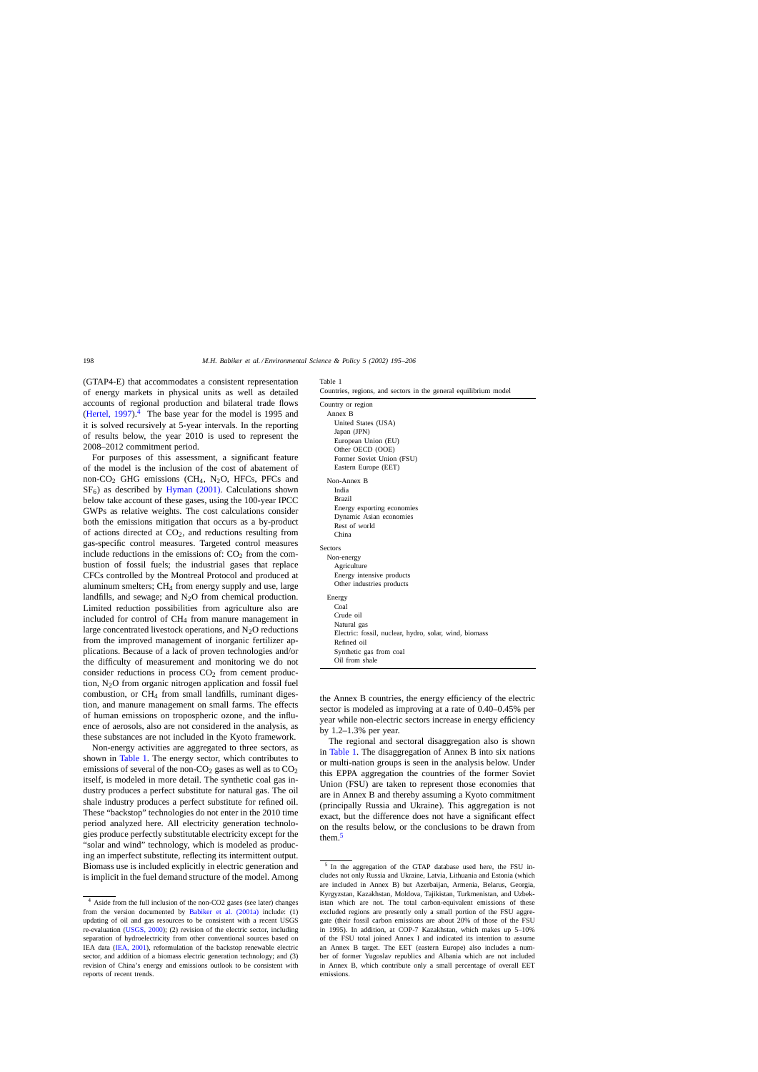(GTAP4-E) that accommodates a consistent representation of energy markets in physical units as well as detailed accounts of regional production and bilateral trade flows (Hertel,  $1997$ ).<sup>4</sup> The base year for the model is 1995 and it is solved recursively at 5-year intervals. In the reporting of results below, the year 2010 is used to represent the 2008–2012 commitment period.

For purposes of this assessment, a significant feature of the model is the inclusion of the cost of abatement of non-CO<sub>2</sub> GHG emissions (CH<sub>4</sub>, N<sub>2</sub>O, HFCs, PFCs and  $SF<sub>6</sub>$ ) as described by [Hyman \(2001\).](#page-11-0) Calculations shown below take account of these gases, using the 100-year IPCC GWPs as relative weights. The cost calculations consider both the emissions mitigation that occurs as a by-product of actions directed at  $CO<sub>2</sub>$ , and reductions resulting from gas-specific control measures. Targeted control measures include reductions in the emissions of:  $CO<sub>2</sub>$  from the combustion of fossil fuels; the industrial gases that replace CFCs controlled by the Montreal Protocol and produced at aluminum smelters;  $CH<sub>4</sub>$  from energy supply and use, large landfills, and sewage; and  $N_2O$  from chemical production. Limited reduction possibilities from agriculture also are included for control of CH4 from manure management in large concentrated livestock operations, and  $N_2O$  reductions from the improved management of inorganic fertilizer applications. Because of a lack of proven technologies and/or the difficulty of measurement and monitoring we do not consider reductions in process  $CO<sub>2</sub>$  from cement production,  $N<sub>2</sub>O$  from organic nitrogen application and fossil fuel combustion, or  $CH_4$  from small landfills, ruminant digestion, and manure management on small farms. The effects of human emissions on tropospheric ozone, and the influence of aerosols, also are not considered in the analysis, as these substances are not included in the Kyoto framework.

Non-energy activities are aggregated to three sectors, as shown in Table 1. The energy sector, which contributes to emissions of several of the non- $CO<sub>2</sub>$  gases as well as to  $CO<sub>2</sub>$ itself, is modeled in more detail. The synthetic coal gas industry produces a perfect substitute for natural gas. The oil shale industry produces a perfect substitute for refined oil. These "backstop" technologies do not enter in the 2010 time period analyzed here. All electricity generation technologies produce perfectly substitutable electricity except for the "solar and wind" technology, which is modeled as producing an imperfect substitute, reflecting its intermittent output. Biomass use is included explicitly in electric generation and is implicit in the fuel demand structure of the model. Among

| i<br>× |  |
|--------|--|
|--------|--|

|  |  |  |  |  |  |  | Countries, regions, and sectors in the general equilibrium model |  |
|--|--|--|--|--|--|--|------------------------------------------------------------------|--|
|--|--|--|--|--|--|--|------------------------------------------------------------------|--|

| Country or region                                      |  |
|--------------------------------------------------------|--|
| Annex B                                                |  |
| United States (USA)                                    |  |
| Japan (JPN)                                            |  |
| European Union (EU)                                    |  |
| Other OECD (OOE)                                       |  |
| Former Soviet Union (FSU)                              |  |
| Eastern Europe (EET)                                   |  |
| Non-Annex B                                            |  |
| India                                                  |  |
| <b>Brazil</b>                                          |  |
| Energy exporting economies                             |  |
| Dynamic Asian economies                                |  |
| Rest of world                                          |  |
| China                                                  |  |
| Sectors                                                |  |
| Non-energy                                             |  |
| Agriculture                                            |  |
| Energy intensive products                              |  |
| Other industries products                              |  |
| Energy                                                 |  |
| Coal                                                   |  |
| Crude oil                                              |  |
| Natural gas                                            |  |
| Electric: fossil, nuclear, hydro, solar, wind, biomass |  |
| Refined oil                                            |  |
| Synthetic gas from coal                                |  |
| Oil from shale                                         |  |

the Annex B countries, the energy efficiency of the electric sector is modeled as improving at a rate of 0.40–0.45% per year while non-electric sectors increase in energy efficiency by 1.2–1.3% per year.

The regional and sectoral disaggregation also is shown in Table 1. The disaggregation of Annex B into six nations or multi-nation groups is seen in the analysis below. Under this EPPA aggregation the countries of the former Soviet Union (FSU) are taken to represent those economies that are in Annex B and thereby assuming a Kyoto commitment (principally Russia and Ukraine). This aggregation is not exact, but the difference does not have a significant effect on the results below, or the conclusions to be drawn from them.<sup>5</sup>

<sup>4</sup> Aside from the full inclusion of the non-CO2 gases (see later) changes from the version documented by [Babiker et al. \(2001a\)](#page-10-0) include: (1) updating of oil and gas resources to be consistent with a recent USGS re-evaluation ([USGS, 2000\);](#page-11-0) (2) revision of the electric sector, including separation of hydroelectricity from other conventional sources based on IEA data [\(IEA, 2001\),](#page-11-0) reformulation of the backstop renewable electric sector, and addition of a biomass electric generation technology; and (3) revision of China's energy and emissions outlook to be consistent with reports of recent trends.

<sup>5</sup> In the aggregation of the GTAP database used here, the FSU includes not only Russia and Ukraine, Latvia, Lithuania and Estonia (which are included in Annex B) but Azerbaijan, Armenia, Belarus, Georgia, Kyrgyzstan, Kazakhstan, Moldova, Tajikistan, Turkmenistan, and Uzbekistan which are not. The total carbon-equivalent emissions of these excluded regions are presently only a small portion of the FSU aggregate (their fossil carbon emissions are about 20% of those of the FSU in 1995). In addition, at COP-7 Kazakhstan, which makes up 5–10% of the FSU total joined Annex I and indicated its intention to assume an Annex B target. The EET (eastern Europe) also includes a number of former Yugoslav republics and Albania which are not included in Annex B, which contribute only a small percentage of overall EET emissions.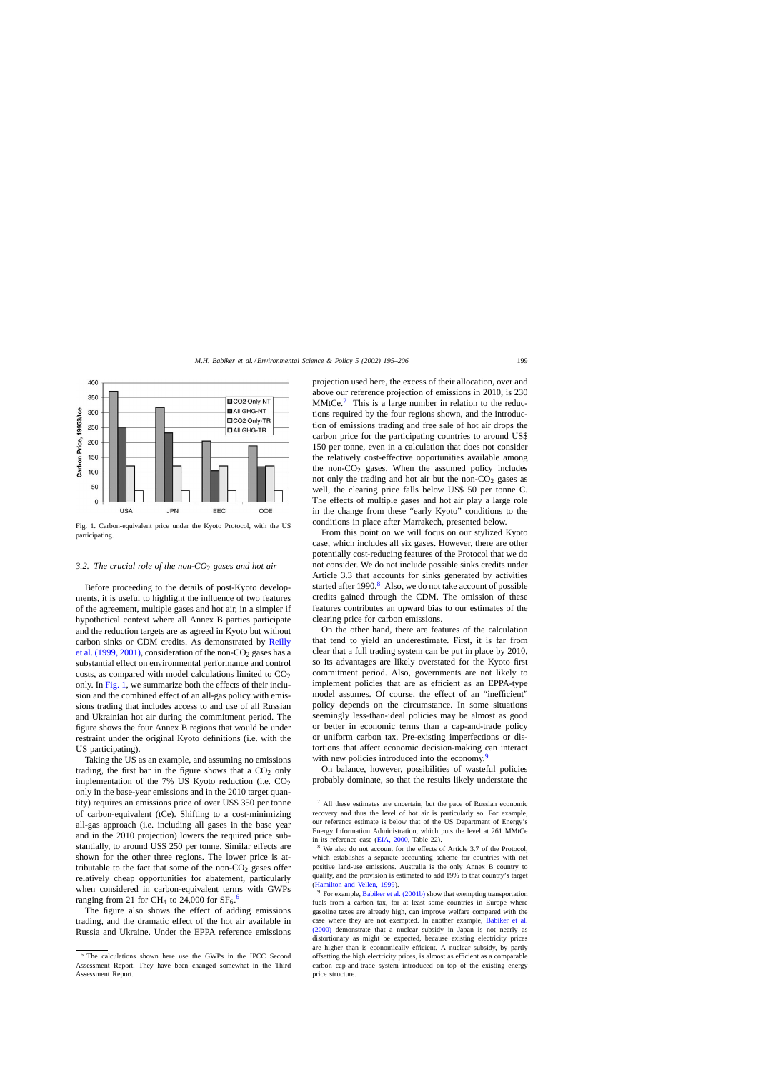<span id="page-4-0"></span>

Fig. 1. Carbon-equivalent price under the Kyoto Protocol, with the US participating.

## *3.2. The crucial role of the non-CO*<sup>2</sup> *gases and hot air*

Before proceeding to the details of post-Kyoto developments, it is useful to highlight the influence of two features of the agreement, multiple gases and hot air, in a simpler if hypothetical context where all Annex B parties participate and the reduction targets are as agreed in Kyoto but without carbon sinks or CDM credits. As demonstrated by [Reilly](#page-11-0) [et al. \(1999, 2001\), c](#page-11-0)onsideration of the non- $CO<sub>2</sub>$  gases has a substantial effect on environmental performance and control costs, as compared with model calculations limited to  $CO<sub>2</sub>$ only. In Fig. 1, we summarize both the effects of their inclusion and the combined effect of an all-gas policy with emissions trading that includes access to and use of all Russian and Ukrainian hot air during the commitment period. The figure shows the four Annex B regions that would be under restraint under the original Kyoto definitions (i.e. with the US participating).

Taking the US as an example, and assuming no emissions trading, the first bar in the figure shows that a  $CO<sub>2</sub>$  only implementation of the 7% US Kyoto reduction (i.e.  $CO<sub>2</sub>$ ) only in the base-year emissions and in the 2010 target quantity) requires an emissions price of over US\$ 350 per tonne of carbon-equivalent (tCe). Shifting to a cost-minimizing all-gas approach (i.e. including all gases in the base year and in the 2010 projection) lowers the required price substantially, to around US\$ 250 per tonne. Similar effects are shown for the other three regions. The lower price is attributable to the fact that some of the non- $CO<sub>2</sub>$  gases offer relatively cheap opportunities for abatement, particularly when considered in carbon-equivalent terms with GWPs ranging from 21 for CH<sub>4</sub> to 24,000 for  $SF_6$ .<sup>6</sup>

The figure also shows the effect of adding emissions trading, and the dramatic effect of the hot air available in Russia and Ukraine. Under the EPPA reference emissions projection used here, the excess of their allocation, over and above our reference projection of emissions in 2010, is 230  $MMtCe.<sup>7</sup>$  This is a large number in relation to the reductions required by the four regions shown, and the introduction of emissions trading and free sale of hot air drops the carbon price for the participating countries to around US\$ 150 per tonne, even in a calculation that does not consider the relatively cost-effective opportunities available among the non- $CO<sub>2</sub>$  gases. When the assumed policy includes not only the trading and hot air but the non- $CO<sub>2</sub>$  gases as well, the clearing price falls below US\$ 50 per tonne C. The effects of multiple gases and hot air play a large role in the change from these "early Kyoto" conditions to the conditions in place after Marrakech, presented below.

From this point on we will focus on our stylized Kyoto case, which includes all six gases. However, there are other potentially cost-reducing features of the Protocol that we do not consider. We do not include possible sinks credits under Article 3.3 that accounts for sinks generated by activities started after  $1990.<sup>8</sup>$  Also, we do not take account of possible credits gained through the CDM. The omission of these features contributes an upward bias to our estimates of the clearing price for carbon emissions.

On the other hand, there are features of the calculation that tend to yield an underestimate. First, it is far from clear that a full trading system can be put in place by 2010, so its advantages are likely overstated for the Kyoto first commitment period. Also, governments are not likely to implement policies that are as efficient as an EPPA-type model assumes. Of course, the effect of an "inefficient" policy depends on the circumstance. In some situations seemingly less-than-ideal policies may be almost as good or better in economic terms than a cap-and-trade policy or uniform carbon tax. Pre-existing imperfections or distortions that affect economic decision-making can interact with new policies introduced into the economy.<sup>9</sup>

On balance, however, possibilities of wasteful policies probably dominate, so that the results likely understate the

<sup>6</sup> The calculations shown here use the GWPs in the IPCC Second Assessment Report. They have been changed somewhat in the Third Assessment Report.

<sup>7</sup> All these estimates are uncertain, but the pace of Russian economic recovery and thus the level of hot air is particularly so. For example, our reference estimate is below that of the US Department of Energy's Energy Information Administration, which puts the level at 261 MMtCe in its reference case [\(EIA, 2000,](#page-11-0) Table 22).

<sup>8</sup> We also do not account for the effects of Article 3.7 of the Protocol, which establishes a separate accounting scheme for countries with net positive land-use emissions. Australia is the only Annex B country to qualify, and the provision is estimated to add 19% to that country's target [\(Hamilton and Vellen, 1999\).](#page-11-0)

For example, [Babiker et al. \(2001b\)](#page-10-0) show that exempting transportation fuels from a carbon tax, for at least some countries in Europe where gasoline taxes are already high, can improve welfare compared with the case where they are not exempted. In another example, [Babiker et al.](#page-10-0) [\(2000\)](#page-10-0) demonstrate that a nuclear subsidy in Japan is not nearly as distortionary as might be expected, because existing electricity prices are higher than is economically efficient. A nuclear subsidy, by partly offsetting the high electricity prices, is almost as efficient as a comparable carbon cap-and-trade system introduced on top of the existing energy price structure.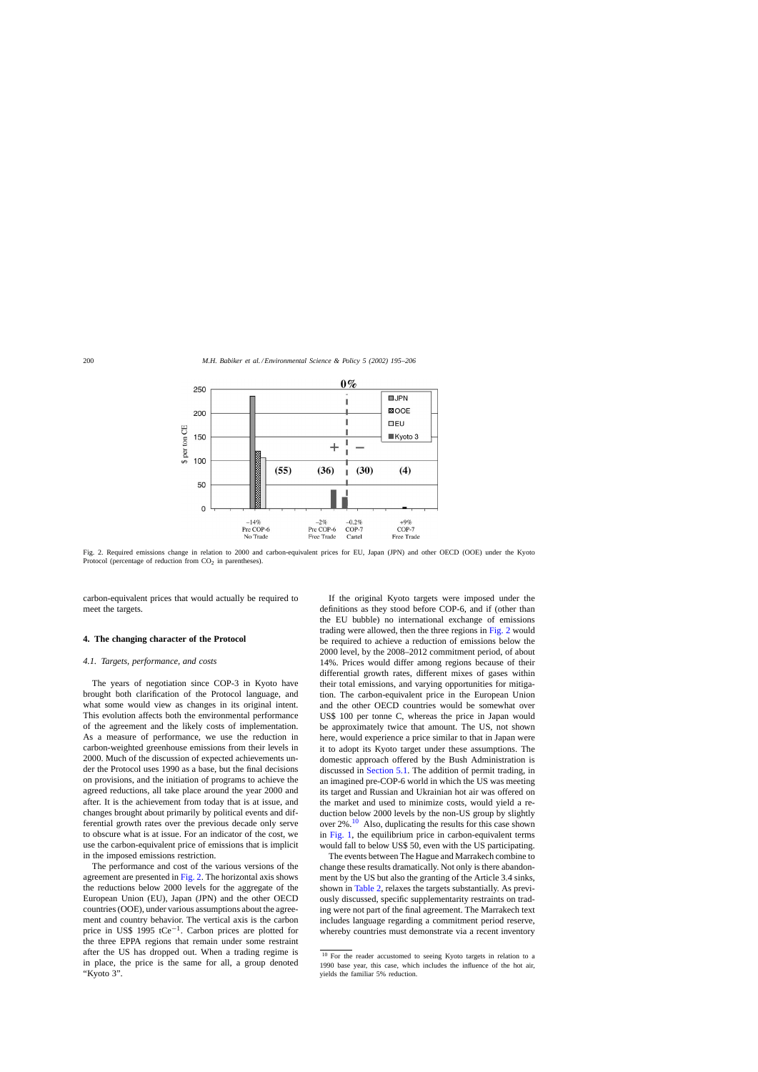<span id="page-5-0"></span>

Fig. 2. Required emissions change in relation to 2000 and carbon-equivalent prices for EU, Japan (JPN) and other OECD (OOE) under the Kyoto Protocol (percentage of reduction from  $CO<sub>2</sub>$  in parentheses).

carbon-equivalent prices that would actually be required to meet the targets.

#### **4. The changing character of the Protocol**

## *4.1. Targets, performance, and costs*

The years of negotiation since COP-3 in Kyoto have brought both clarification of the Protocol language, and what some would view as changes in its original intent. This evolution affects both the environmental performance of the agreement and the likely costs of implementation. As a measure of performance, we use the reduction in carbon-weighted greenhouse emissions from their levels in 2000. Much of the discussion of expected achievements under the Protocol uses 1990 as a base, but the final decisions on provisions, and the initiation of programs to achieve the agreed reductions, all take place around the year 2000 and after. It is the achievement from today that is at issue, and changes brought about primarily by political events and differential growth rates over the previous decade only serve to obscure what is at issue. For an indicator of the cost, we use the carbon-equivalent price of emissions that is implicit in the imposed emissions restriction.

The performance and cost of the various versions of the agreement are presented in Fig. 2. The horizontal axis shows the reductions below 2000 levels for the aggregate of the European Union (EU), Japan (JPN) and the other OECD countries (OOE), under various assumptions about the agreement and country behavior. The vertical axis is the carbon price in US\$ 1995 tCe−1. Carbon prices are plotted for the three EPPA regions that remain under some restraint after the US has dropped out. When a trading regime is in place, the price is the same for all, a group denoted "Kyoto 3".

If the original Kyoto targets were imposed under the definitions as they stood before COP-6, and if (other than the EU bubble) no international exchange of emissions trading were allowed, then the three regions in Fig. 2 would be required to achieve a reduction of emissions below the 2000 level, by the 2008–2012 commitment period, of about 14%. Prices would differ among regions because of their differential growth rates, different mixes of gases within their total emissions, and varying opportunities for mitigation. The carbon-equivalent price in the European Union and the other OECD countries would be somewhat over US\$ 100 per tonne C, whereas the price in Japan would be approximately twice that amount. The US, not shown here, would experience a price similar to that in Japan were it to adopt its Kyoto target under these assumptions. The domestic approach offered by the Bush Administration is discussed in [Section 5.1.](#page-8-0) The addition of permit trading, in an imagined pre-COP-6 world in which the US was meeting its target and Russian and Ukrainian hot air was offered on the market and used to minimize costs, would yield a reduction below 2000 levels by the non-US group by slightly over 2%.<sup>10</sup> Also, duplicating the results for this case shown in [Fig. 1,](#page-4-0) the equilibrium price in carbon-equivalent terms would fall to below US\$ 50, even with the US participating.

The events between The Hague and Marrakech combine to change these results dramatically. Not only is there abandonment by the US but also the granting of the Article 3.4 sinks, shown in [Table 2, r](#page-6-0)elaxes the targets substantially. As previously discussed, specific supplementarity restraints on trading were not part of the final agreement. The Marrakech text includes language regarding a commitment period reserve, whereby countries must demonstrate via a recent inventory

<sup>10</sup> For the reader accustomed to seeing Kyoto targets in relation to a 1990 base year, this case, which includes the influence of the hot air, yields the familiar 5% reduction.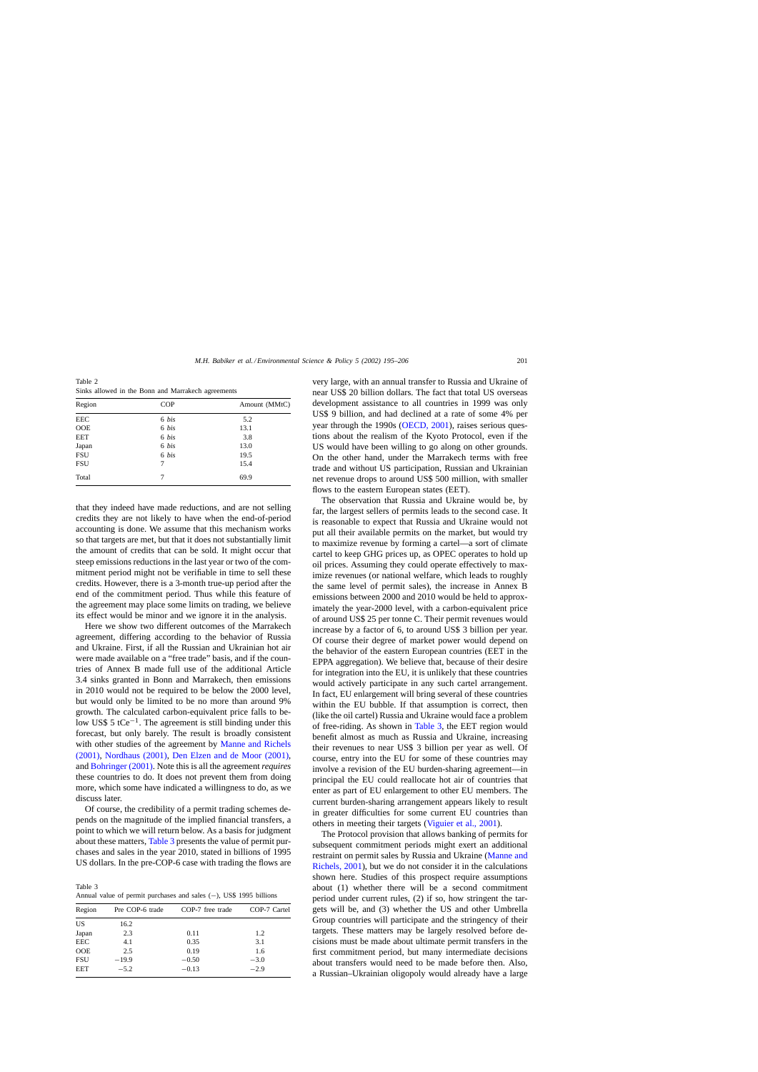<span id="page-6-0"></span>Table 2 Sinks allowed in the Bonn and Marrakech agreements

| Region     | <b>COP</b> | Amount (MMtC) |
|------------|------------|---------------|
| <b>EEC</b> | 6 bis      | 5.2           |
| OOE        | 6 bis      | 13.1          |
| <b>EET</b> | 6 bis      | 3.8           |
| Japan      | 6 bis      | 13.0          |
| <b>FSU</b> | 6 bis      | 19.5          |
| <b>FSU</b> | 7          | 15.4          |
| Total      | 7          | 69.9          |

that they indeed have made reductions, and are not selling credits they are not likely to have when the end-of-period accounting is done. We assume that this mechanism works so that targets are met, but that it does not substantially limit the amount of credits that can be sold. It might occur that steep emissions reductions in the last year or two of the commitment period might not be verifiable in time to sell these credits. However, there is a 3-month true-up period after the end of the commitment period. Thus while this feature of the agreement may place some limits on trading, we believe its effect would be minor and we ignore it in the analysis.

Here we show two different outcomes of the Marrakech agreement, differing according to the behavior of Russia and Ukraine. First, if all the Russian and Ukrainian hot air were made available on a "free trade" basis, and if the countries of Annex B made full use of the additional Article 3.4 sinks granted in Bonn and Marrakech, then emissions in 2010 would not be required to be below the 2000 level, but would only be limited to be no more than around 9% growth. The calculated carbon-equivalent price falls to below US\$ 5 tCe−1. The agreement is still binding under this forecast, but only barely. The result is broadly consistent with other studies of the agreement by [Manne and Richels](#page-11-0) [\(2001\),](#page-11-0) [Nordhaus \(2001\),](#page-11-0) [Den Elzen and de Moor \(2001\),](#page-11-0) and [Bohringer \(2001\). N](#page-11-0)ote this is all the agreement *requires* these countries to do. It does not prevent them from doing more, which some have indicated a willingness to do, as we discuss later.

Of course, the credibility of a permit trading schemes depends on the magnitude of the implied financial transfers, a point to which we will return below. As a basis for judgment about these matters, Table 3 presents the value of permit purchases and sales in the year 2010, stated in billions of 1995 US dollars. In the pre-COP-6 case with trading the flows are

Table 3 Annual value of permit purchases and sales (−), US\$ 1995 billions

| Region     | Pre COP-6 trade | COP-7 free trade | COP-7 Cartel |
|------------|-----------------|------------------|--------------|
| US         | 16.2            |                  |              |
| Japan      | 2.3             | 0.11             | 1.2          |
| <b>EEC</b> | 4.1             | 0.35             | 3.1          |
| <b>OOE</b> | 2.5             | 0.19             | 1.6          |
| <b>FSU</b> | $-19.9$         | $-0.50$          | $-3.0$       |
| <b>EET</b> | $-5.2$          | $-0.13$          | $-2.9$       |

very large, with an annual transfer to Russia and Ukraine of near US\$ 20 billion dollars. The fact that total US overseas development assistance to all countries in 1999 was only US\$ 9 billion, and had declined at a rate of some 4% per year through the 1990s ([OECD, 2001\),](#page-11-0) raises serious questions about the realism of the Kyoto Protocol, even if the US would have been willing to go along on other grounds. On the other hand, under the Marrakech terms with free trade and without US participation, Russian and Ukrainian net revenue drops to around US\$ 500 million, with smaller flows to the eastern European states (EET).

The observation that Russia and Ukraine would be, by far, the largest sellers of permits leads to the second case. It is reasonable to expect that Russia and Ukraine would not put all their available permits on the market, but would try to maximize revenue by forming a cartel—a sort of climate cartel to keep GHG prices up, as OPEC operates to hold up oil prices. Assuming they could operate effectively to maximize revenues (or national welfare, which leads to roughly the same level of permit sales), the increase in Annex B emissions between 2000 and 2010 would be held to approximately the year-2000 level, with a carbon-equivalent price of around US\$ 25 per tonne C. Their permit revenues would increase by a factor of 6, to around US\$ 3 billion per year. Of course their degree of market power would depend on the behavior of the eastern European countries (EET in the EPPA aggregation). We believe that, because of their desire for integration into the EU, it is unlikely that these countries would actively participate in any such cartel arrangement. In fact, EU enlargement will bring several of these countries within the EU bubble. If that assumption is correct, then (like the oil cartel) Russia and Ukraine would face a problem of free-riding. As shown in Table 3, the EET region would benefit almost as much as Russia and Ukraine, increasing their revenues to near US\$ 3 billion per year as well. Of course, entry into the EU for some of these countries may involve a revision of the EU burden-sharing agreement—in principal the EU could reallocate hot air of countries that enter as part of EU enlargement to other EU members. The current burden-sharing arrangement appears likely to result in greater difficulties for some current EU countries than others in meeting their targets [\(Viguier et al., 2001\).](#page-11-0)

The Protocol provision that allows banking of permits for subsequent commitment periods might exert an additional restraint on permit sales by Russia and Ukraine ([Manne and](#page-11-0) [Richels, 2001\),](#page-11-0) but we do not consider it in the calculations shown here. Studies of this prospect require assumptions about (1) whether there will be a second commitment period under current rules, (2) if so, how stringent the targets will be, and (3) whether the US and other Umbrella Group countries will participate and the stringency of their targets. These matters may be largely resolved before decisions must be made about ultimate permit transfers in the first commitment period, but many intermediate decisions about transfers would need to be made before then. Also, a Russian–Ukrainian oligopoly would already have a large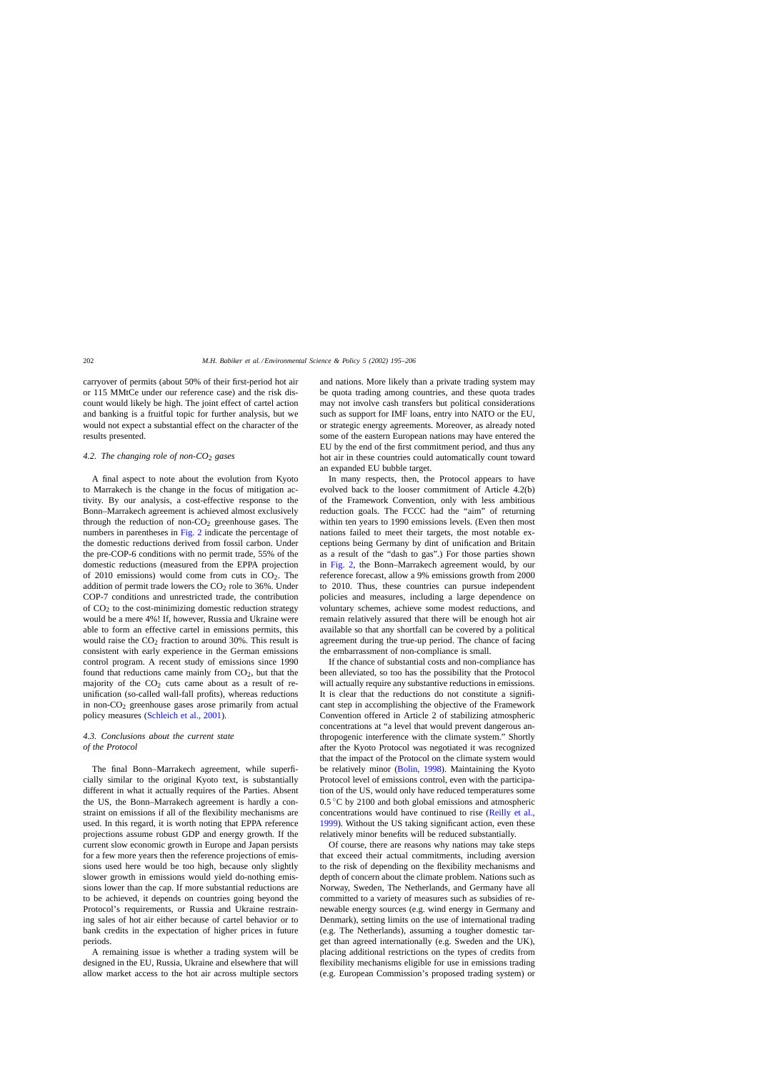carryover of permits (about 50% of their first-period hot air or 115 MMtCe under our reference case) and the risk discount would likely be high. The joint effect of cartel action and banking is a fruitful topic for further analysis, but we would not expect a substantial effect on the character of the results presented.

## *4.2. The changing role of non-CO*<sup>2</sup> *gases*

A final aspect to note about the evolution from Kyoto to Marrakech is the change in the focus of mitigation activity. By our analysis, a cost-effective response to the Bonn–Marrakech agreement is achieved almost exclusively through the reduction of non- $CO<sub>2</sub>$  greenhouse gases. The numbers in parentheses in [Fig. 2](#page-5-0) indicate the percentage of the domestic reductions derived from fossil carbon. Under the pre-COP-6 conditions with no permit trade, 55% of the domestic reductions (measured from the EPPA projection of 2010 emissions) would come from cuts in  $CO<sub>2</sub>$ . The addition of permit trade lowers the  $CO<sub>2</sub>$  role to 36%. Under COP-7 conditions and unrestricted trade, the contribution of  $CO<sub>2</sub>$  to the cost-minimizing domestic reduction strategy would be a mere 4%! If, however, Russia and Ukraine were able to form an effective cartel in emissions permits, this would raise the  $CO<sub>2</sub>$  fraction to around 30%. This result is consistent with early experience in the German emissions control program. A recent study of emissions since 1990 found that reductions came mainly from  $CO<sub>2</sub>$ , but that the majority of the  $CO<sub>2</sub>$  cuts came about as a result of reunification (so-called wall-fall profits), whereas reductions in non- $CO<sub>2</sub>$  greenhouse gases arose primarily from actual policy measures ([Schleich et al., 2001\).](#page-11-0)

## *4.3. Conclusions about the current state of the Protocol*

The final Bonn–Marrakech agreement, while superficially similar to the original Kyoto text, is substantially different in what it actually requires of the Parties. Absent the US, the Bonn–Marrakech agreement is hardly a constraint on emissions if all of the flexibility mechanisms are used. In this regard, it is worth noting that EPPA reference projections assume robust GDP and energy growth. If the current slow economic growth in Europe and Japan persists for a few more years then the reference projections of emissions used here would be too high, because only slightly slower growth in emissions would yield do-nothing emissions lower than the cap. If more substantial reductions are to be achieved, it depends on countries going beyond the Protocol's requirements, or Russia and Ukraine restraining sales of hot air either because of cartel behavior or to bank credits in the expectation of higher prices in future periods.

A remaining issue is whether a trading system will be designed in the EU, Russia, Ukraine and elsewhere that will allow market access to the hot air across multiple sectors and nations. More likely than a private trading system may be quota trading among countries, and these quota trades may not involve cash transfers but political considerations such as support for IMF loans, entry into NATO or the EU, or strategic energy agreements. Moreover, as already noted some of the eastern European nations may have entered the EU by the end of the first commitment period, and thus any hot air in these countries could automatically count toward an expanded EU bubble target.

In many respects, then, the Protocol appears to have evolved back to the looser commitment of Article 4.2(b) of the Framework Convention, only with less ambitious reduction goals. The FCCC had the "aim" of returning within ten years to 1990 emissions levels. (Even then most nations failed to meet their targets, the most notable exceptions being Germany by dint of unification and Britain as a result of the "dash to gas".) For those parties shown in [Fig. 2,](#page-5-0) the Bonn–Marrakech agreement would, by our reference forecast, allow a 9% emissions growth from 2000 to 2010. Thus, these countries can pursue independent policies and measures, including a large dependence on voluntary schemes, achieve some modest reductions, and remain relatively assured that there will be enough hot air available so that any shortfall can be covered by a political agreement during the true-up period. The chance of facing the embarrassment of non-compliance is small.

If the chance of substantial costs and non-compliance has been alleviated, so too has the possibility that the Protocol will actually require any substantive reductions in emissions. It is clear that the reductions do not constitute a significant step in accomplishing the objective of the Framework Convention offered in Article 2 of stabilizing atmospheric concentrations at "a level that would prevent dangerous anthropogenic interference with the climate system." Shortly after the Kyoto Protocol was negotiated it was recognized that the impact of the Protocol on the climate system would be relatively minor ([Bolin, 1998\).](#page-11-0) Maintaining the Kyoto Protocol level of emissions control, even with the participation of the US, would only have reduced temperatures some  $0.5\,^{\circ}\mathrm{C}$  by 2100 and both global emissions and atmospheric concentrations would have continued to rise ([Reilly et al.,](#page-11-0) [1999\).](#page-11-0) Without the US taking significant action, even these relatively minor benefits will be reduced substantially.

Of course, there are reasons why nations may take steps that exceed their actual commitments, including aversion to the risk of depending on the flexibility mechanisms and depth of concern about the climate problem. Nations such as Norway, Sweden, The Netherlands, and Germany have all committed to a variety of measures such as subsidies of renewable energy sources (e.g. wind energy in Germany and Denmark), setting limits on the use of international trading (e.g. The Netherlands), assuming a tougher domestic target than agreed internationally (e.g. Sweden and the UK), placing additional restrictions on the types of credits from flexibility mechanisms eligible for use in emissions trading (e.g. European Commission's proposed trading system) or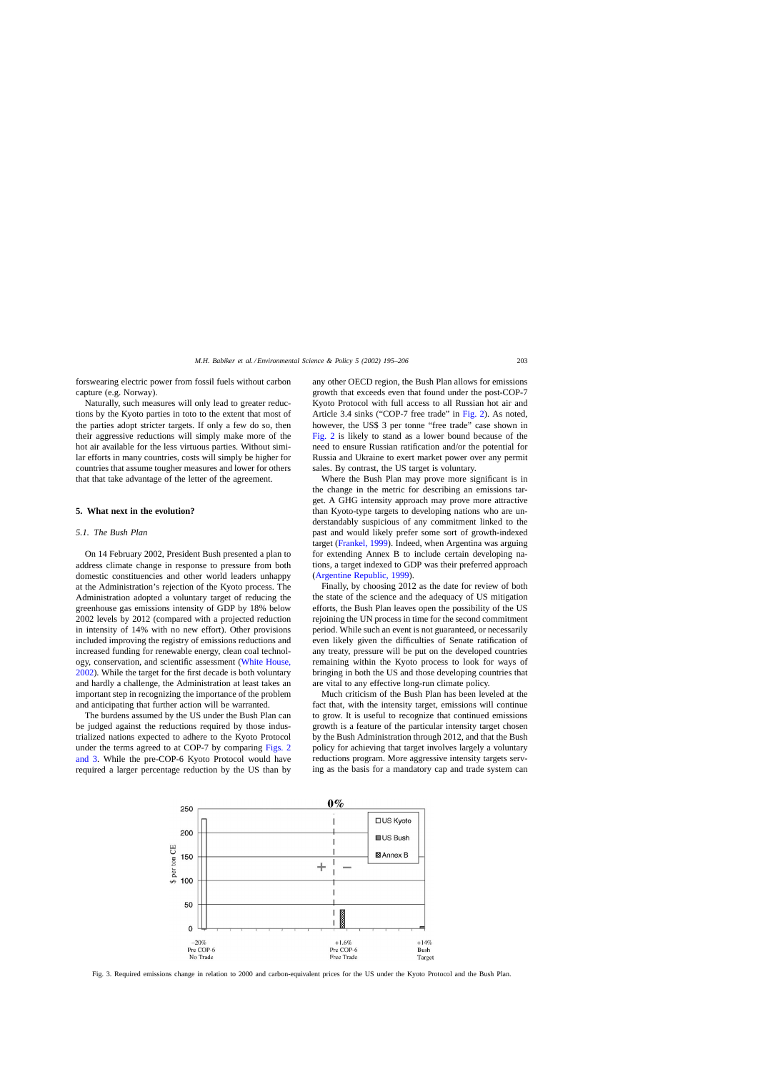<span id="page-8-0"></span>forswearing electric power from fossil fuels without carbon capture (e.g. Norway).

Naturally, such measures will only lead to greater reductions by the Kyoto parties in toto to the extent that most of the parties adopt stricter targets. If only a few do so, then their aggressive reductions will simply make more of the hot air available for the less virtuous parties. Without similar efforts in many countries, costs will simply be higher for countries that assume tougher measures and lower for others that that take advantage of the letter of the agreement.

# **5. What next in the evolution?**

### *5.1. The Bush Plan*

On 14 February 2002, President Bush presented a plan to address climate change in response to pressure from both domestic constituencies and other world leaders unhappy at the Administration's rejection of the Kyoto process. The Administration adopted a voluntary target of reducing the greenhouse gas emissions intensity of GDP by 18% below 2002 levels by 2012 (compared with a projected reduction in intensity of 14% with no new effort). Other provisions included improving the registry of emissions reductions and increased funding for renewable energy, clean coal technology, conservation, and scientific assessment ([White House,](#page-11-0) [2002\).](#page-11-0) While the target for the first decade is both voluntary and hardly a challenge, the Administration at least takes an important step in recognizing the importance of the problem and anticipating that further action will be warranted.

The burdens assumed by the US under the Bush Plan can be judged against the reductions required by those industrialized nations expected to adhere to the Kyoto Protocol under the terms agreed to at COP-7 by comparing [Figs. 2](#page-5-0) [and 3.](#page-5-0) While the pre-COP-6 Kyoto Protocol would have required a larger percentage reduction by the US than by any other OECD region, the Bush Plan allows for emissions growth that exceeds even that found under the post-COP-7 Kyoto Protocol with full access to all Russian hot air and Article 3.4 sinks ("COP-7 free trade" in [Fig. 2\).](#page-5-0) As noted, however, the US\$ 3 per tonne "free trade" case shown in [Fig. 2](#page-5-0) is likely to stand as a lower bound because of the need to ensure Russian ratification and/or the potential for Russia and Ukraine to exert market power over any permit sales. By contrast, the US target is voluntary.

Where the Bush Plan may prove more significant is in the change in the metric for describing an emissions target. A GHG intensity approach may prove more attractive than Kyoto-type targets to developing nations who are understandably suspicious of any commitment linked to the past and would likely prefer some sort of growth-indexed target ([Frankel, 1999\).](#page-11-0) Indeed, when Argentina was arguing for extending Annex B to include certain developing nations, a target indexed to GDP was their preferred approach ([Argentine Republic, 1999\).](#page-10-0)

Finally, by choosing 2012 as the date for review of both the state of the science and the adequacy of US mitigation efforts, the Bush Plan leaves open the possibility of the US rejoining the UN process in time for the second commitment period. While such an event is not guaranteed, or necessarily even likely given the difficulties of Senate ratification of any treaty, pressure will be put on the developed countries remaining within the Kyoto process to look for ways of bringing in both the US and those developing countries that are vital to any effective long-run climate policy.

Much criticism of the Bush Plan has been leveled at the fact that, with the intensity target, emissions will continue to grow. It is useful to recognize that continued emissions growth is a feature of the particular intensity target chosen by the Bush Administration through 2012, and that the Bush policy for achieving that target involves largely a voluntary reductions program. More aggressive intensity targets serving as the basis for a mandatory cap and trade system can



Fig. 3. Required emissions change in relation to 2000 and carbon-equivalent prices for the US under the Kyoto Protocol and the Bush Plan.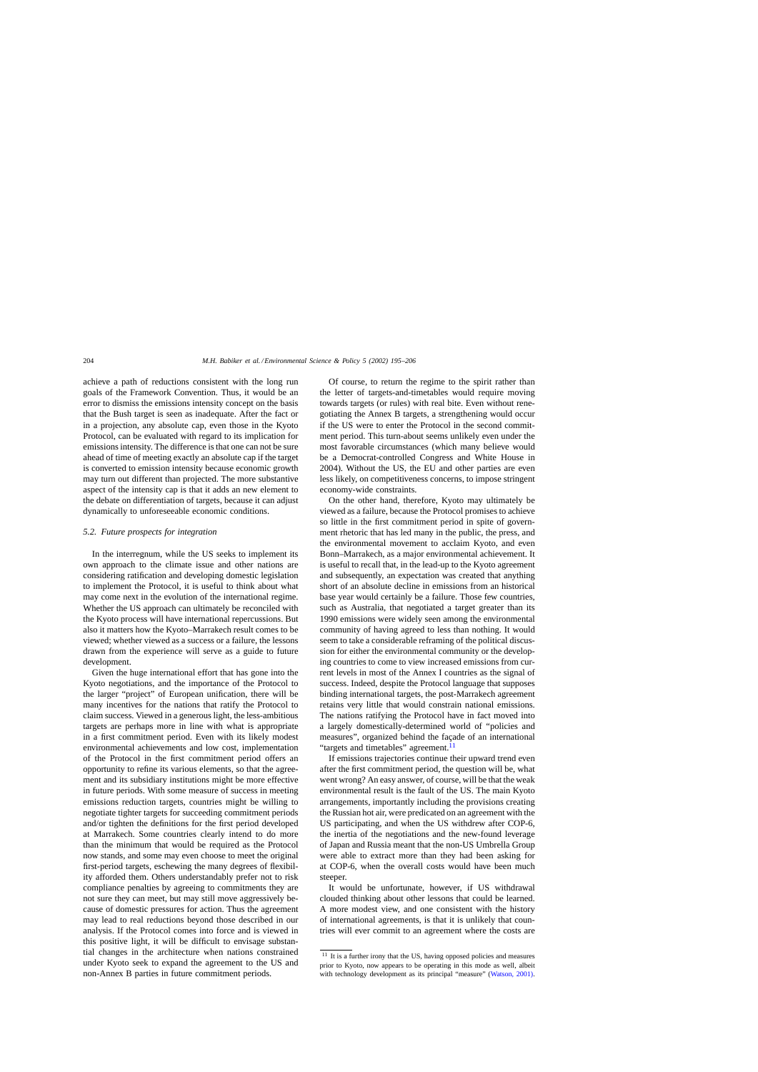achieve a path of reductions consistent with the long run goals of the Framework Convention. Thus, it would be an error to dismiss the emissions intensity concept on the basis that the Bush target is seen as inadequate. After the fact or in a projection, any absolute cap, even those in the Kyoto Protocol, can be evaluated with regard to its implication for emissions intensity. The difference is that one can not be sure ahead of time of meeting exactly an absolute cap if the target is converted to emission intensity because economic growth may turn out different than projected. The more substantive aspect of the intensity cap is that it adds an new element to the debate on differentiation of targets, because it can adjust dynamically to unforeseeable economic conditions.

#### *5.2. Future prospects for integration*

In the interregnum, while the US seeks to implement its own approach to the climate issue and other nations are considering ratification and developing domestic legislation to implement the Protocol, it is useful to think about what may come next in the evolution of the international regime. Whether the US approach can ultimately be reconciled with the Kyoto process will have international repercussions. But also it matters how the Kyoto–Marrakech result comes to be viewed; whether viewed as a success or a failure, the lessons drawn from the experience will serve as a guide to future development.

Given the huge international effort that has gone into the Kyoto negotiations, and the importance of the Protocol to the larger "project" of European unification, there will be many incentives for the nations that ratify the Protocol to claim success. Viewed in a generous light, the less-ambitious targets are perhaps more in line with what is appropriate in a first commitment period. Even with its likely modest environmental achievements and low cost, implementation of the Protocol in the first commitment period offers an opportunity to refine its various elements, so that the agreement and its subsidiary institutions might be more effective in future periods. With some measure of success in meeting emissions reduction targets, countries might be willing to negotiate tighter targets for succeeding commitment periods and/or tighten the definitions for the first period developed at Marrakech. Some countries clearly intend to do more than the minimum that would be required as the Protocol now stands, and some may even choose to meet the original first-period targets, eschewing the many degrees of flexibility afforded them. Others understandably prefer not to risk compliance penalties by agreeing to commitments they are not sure they can meet, but may still move aggressively because of domestic pressures for action. Thus the agreement may lead to real reductions beyond those described in our analysis. If the Protocol comes into force and is viewed in this positive light, it will be difficult to envisage substantial changes in the architecture when nations constrained under Kyoto seek to expand the agreement to the US and non-Annex B parties in future commitment periods.

Of course, to return the regime to the spirit rather than the letter of targets-and-timetables would require moving towards targets (or rules) with real bite. Even without renegotiating the Annex B targets, a strengthening would occur if the US were to enter the Protocol in the second commitment period. This turn-about seems unlikely even under the most favorable circumstances (which many believe would be a Democrat-controlled Congress and White House in 2004). Without the US, the EU and other parties are even less likely, on competitiveness concerns, to impose stringent economy-wide constraints.

On the other hand, therefore, Kyoto may ultimately be viewed as a failure, because the Protocol promises to achieve so little in the first commitment period in spite of government rhetoric that has led many in the public, the press, and the environmental movement to acclaim Kyoto, and even Bonn–Marrakech, as a major environmental achievement. It is useful to recall that, in the lead-up to the Kyoto agreement and subsequently, an expectation was created that anything short of an absolute decline in emissions from an historical base year would certainly be a failure. Those few countries, such as Australia, that negotiated a target greater than its 1990 emissions were widely seen among the environmental community of having agreed to less than nothing. It would seem to take a considerable reframing of the political discussion for either the environmental community or the developing countries to come to view increased emissions from current levels in most of the Annex I countries as the signal of success. Indeed, despite the Protocol language that supposes binding international targets, the post-Marrakech agreement retains very little that would constrain national emissions. The nations ratifying the Protocol have in fact moved into a largely domestically-determined world of "policies and measures", organized behind the façade of an international "targets and timetables" agreement.<sup>11</sup>

If emissions trajectories continue their upward trend even after the first commitment period, the question will be, what went wrong? An easy answer, of course, will be that the weak environmental result is the fault of the US. The main Kyoto arrangements, importantly including the provisions creating the Russian hot air, were predicated on an agreement with the US participating, and when the US withdrew after COP-6, the inertia of the negotiations and the new-found leverage of Japan and Russia meant that the non-US Umbrella Group were able to extract more than they had been asking for at COP-6, when the overall costs would have been much steeper.

It would be unfortunate, however, if US withdrawal clouded thinking about other lessons that could be learned. A more modest view, and one consistent with the history of international agreements, is that it is unlikely that countries will ever commit to an agreement where the costs are

<sup>&</sup>lt;sup>11</sup> It is a further irony that the US, having opposed policies and measures prior to Kyoto, now appears to be operating in this mode as well, albeit with technology development as its principal "measure" [\(Watson, 2001\).](#page-11-0)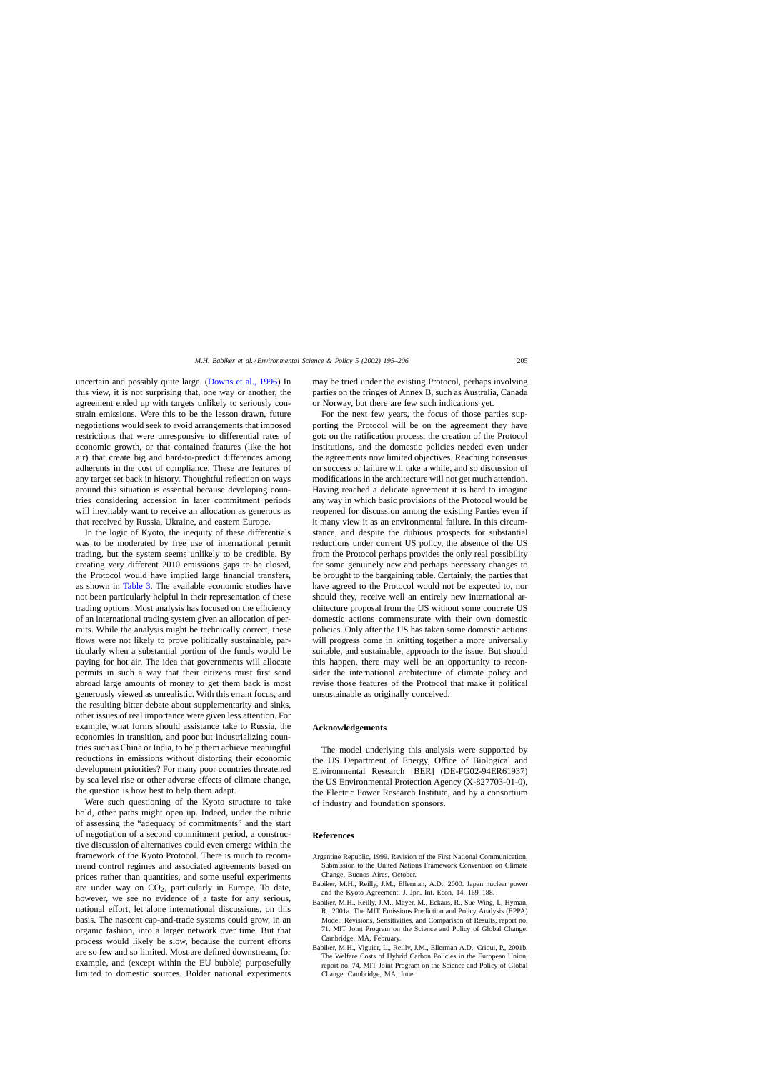<span id="page-10-0"></span>uncertain and possibly quite large. [\(Downs et al., 1996\)](#page-11-0) In this view, it is not surprising that, one way or another, the agreement ended up with targets unlikely to seriously constrain emissions. Were this to be the lesson drawn, future negotiations would seek to avoid arrangements that imposed restrictions that were unresponsive to differential rates of economic growth, or that contained features (like the hot air) that create big and hard-to-predict differences among adherents in the cost of compliance. These are features of any target set back in history. Thoughtful reflection on ways around this situation is essential because developing countries considering accession in later commitment periods will inevitably want to receive an allocation as generous as that received by Russia, Ukraine, and eastern Europe.

In the logic of Kyoto, the inequity of these differentials was to be moderated by free use of international permit trading, but the system seems unlikely to be credible. By creating very different 2010 emissions gaps to be closed, the Protocol would have implied large financial transfers, as shown in [Table 3.](#page-6-0) The available economic studies have not been particularly helpful in their representation of these trading options. Most analysis has focused on the efficiency of an international trading system given an allocation of permits. While the analysis might be technically correct, these flows were not likely to prove politically sustainable, particularly when a substantial portion of the funds would be paying for hot air. The idea that governments will allocate permits in such a way that their citizens must first send abroad large amounts of money to get them back is most generously viewed as unrealistic. With this errant focus, and the resulting bitter debate about supplementarity and sinks, other issues of real importance were given less attention. For example, what forms should assistance take to Russia, the economies in transition, and poor but industrializing countries such as China or India, to help them achieve meaningful reductions in emissions without distorting their economic development priorities? For many poor countries threatened by sea level rise or other adverse effects of climate change, the question is how best to help them adapt.

Were such questioning of the Kyoto structure to take hold, other paths might open up. Indeed, under the rubric of assessing the "adequacy of commitments" and the start of negotiation of a second commitment period, a constructive discussion of alternatives could even emerge within the framework of the Kyoto Protocol. There is much to recommend control regimes and associated agreements based on prices rather than quantities, and some useful experiments are under way on  $CO<sub>2</sub>$ , particularly in Europe. To date, however, we see no evidence of a taste for any serious, national effort, let alone international discussions, on this basis. The nascent cap-and-trade systems could grow, in an organic fashion, into a larger network over time. But that process would likely be slow, because the current efforts are so few and so limited. Most are defined downstream, for example, and (except within the EU bubble) purposefully limited to domestic sources. Bolder national experiments

may be tried under the existing Protocol, perhaps involving parties on the fringes of Annex B, such as Australia, Canada or Norway, but there are few such indications yet.

For the next few years, the focus of those parties supporting the Protocol will be on the agreement they have got: on the ratification process, the creation of the Protocol institutions, and the domestic policies needed even under the agreements now limited objectives. Reaching consensus on success or failure will take a while, and so discussion of modifications in the architecture will not get much attention. Having reached a delicate agreement it is hard to imagine any way in which basic provisions of the Protocol would be reopened for discussion among the existing Parties even if it many view it as an environmental failure. In this circumstance, and despite the dubious prospects for substantial reductions under current US policy, the absence of the US from the Protocol perhaps provides the only real possibility for some genuinely new and perhaps necessary changes to be brought to the bargaining table. Certainly, the parties that have agreed to the Protocol would not be expected to, nor should they, receive well an entirely new international architecture proposal from the US without some concrete US domestic actions commensurate with their own domestic policies. Only after the US has taken some domestic actions will progress come in knitting together a more universally suitable, and sustainable, approach to the issue. But should this happen, there may well be an opportunity to reconsider the international architecture of climate policy and revise those features of the Protocol that make it political unsustainable as originally conceived.

## **Acknowledgements**

The model underlying this analysis were supported by the US Department of Energy, Office of Biological and Environmental Research [BER] (DE-FG02-94ER61937) the US Environmental Protection Agency (X-827703-01-0), the Electric Power Research Institute, and by a consortium of industry and foundation sponsors.

#### **References**

- Argentine Republic, 1999. Revision of the First National Communication, Submission to the United Nations Framework Convention on Climate Change, Buenos Aires, October.
- Babiker, M.H., Reilly, J.M., Ellerman, A.D., 2000. Japan nuclear power and the Kyoto Agreement. J. Jpn. Int. Econ. 14, 169–188.
- Babiker, M.H., Reilly, J.M., Mayer, M., Eckaus, R., Sue Wing, I., Hyman, R., 2001a. The MIT Emissions Prediction and Policy Analysis (EPPA) Model: Revisions, Sensitivities, and Comparison of Results, report no. 71. MIT Joint Program on the Science and Policy of Global Change. Cambridge, MA, February.
- Babiker, M.H., Viguier, L., Reilly, J.M., Ellerman A.D., Criqui, P., 2001b. The Welfare Costs of Hybrid Carbon Policies in the European Union, report no. 74, MIT Joint Program on the Science and Policy of Global Change. Cambridge, MA, June.